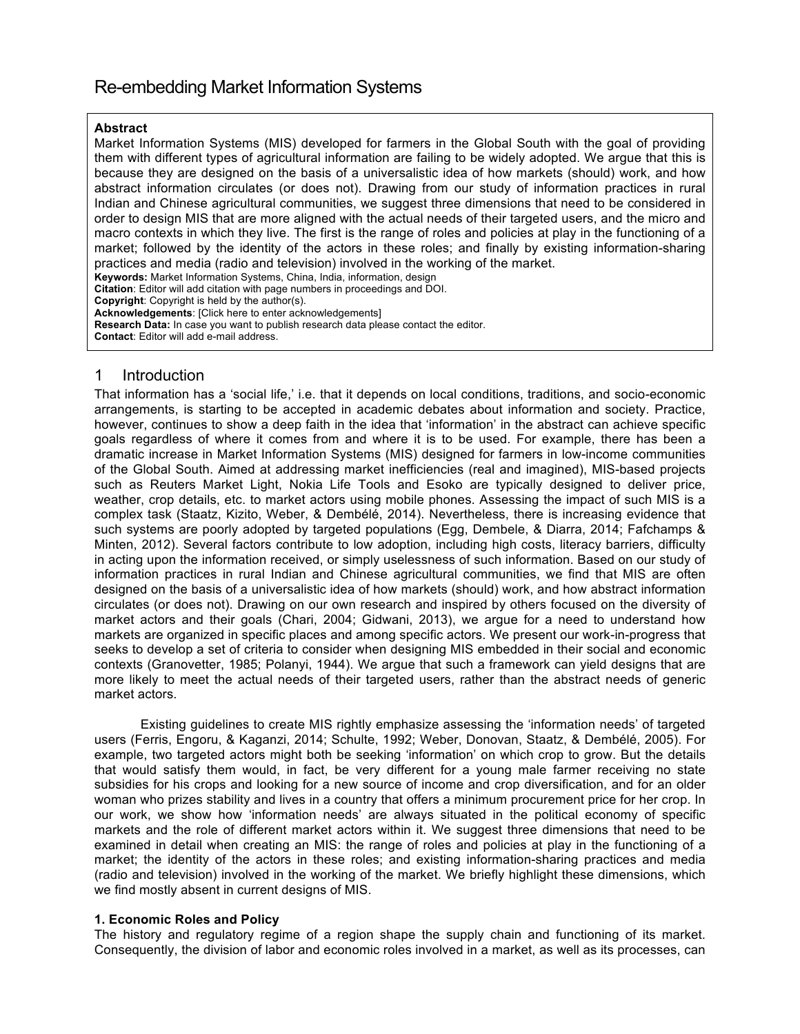# Re-embedding Market Information Systems

#### **Abstract**

Market Information Systems (MIS) developed for farmers in the Global South with the goal of providing them with different types of agricultural information are failing to be widely adopted. We argue that this is because they are designed on the basis of a universalistic idea of how markets (should) work, and how abstract information circulates (or does not). Drawing from our study of information practices in rural Indian and Chinese agricultural communities, we suggest three dimensions that need to be considered in order to design MIS that are more aligned with the actual needs of their targeted users, and the micro and macro contexts in which they live. The first is the range of roles and policies at play in the functioning of a market; followed by the identity of the actors in these roles; and finally by existing information-sharing practices and media (radio and television) involved in the working of the market. **Keywords:** Market Information Systems, China, India, information, design

**Citation**: Editor will add citation with page numbers in proceedings and DOI.

**Copyright**: Copyright is held by the author(s).

**Acknowledgements**: [Click here to enter acknowledgements]

**Research Data:** In case you want to publish research data please contact the editor.

**Contact**: Editor will add e-mail address.

# 1 Introduction

That information has a 'social life,' i.e. that it depends on local conditions, traditions, and socio-economic arrangements, is starting to be accepted in academic debates about information and society. Practice, however, continues to show a deep faith in the idea that 'information' in the abstract can achieve specific goals regardless of where it comes from and where it is to be used. For example, there has been a dramatic increase in Market Information Systems (MIS) designed for farmers in low-income communities of the Global South. Aimed at addressing market inefficiencies (real and imagined), MIS-based projects such as Reuters Market Light, Nokia Life Tools and Esoko are typically designed to deliver price, weather, crop details, etc. to market actors using mobile phones. Assessing the impact of such MIS is a complex task (Staatz, Kizito, Weber, & Dembélé, 2014). Nevertheless, there is increasing evidence that such systems are poorly adopted by targeted populations (Egg, Dembele, & Diarra, 2014; Fafchamps & Minten, 2012). Several factors contribute to low adoption, including high costs, literacy barriers, difficulty in acting upon the information received, or simply uselessness of such information. Based on our study of information practices in rural Indian and Chinese agricultural communities, we find that MIS are often designed on the basis of a universalistic idea of how markets (should) work, and how abstract information circulates (or does not). Drawing on our own research and inspired by others focused on the diversity of market actors and their goals (Chari, 2004; Gidwani, 2013), we argue for a need to understand how markets are organized in specific places and among specific actors. We present our work-in-progress that seeks to develop a set of criteria to consider when designing MIS embedded in their social and economic contexts (Granovetter, 1985; Polanyi, 1944). We argue that such a framework can yield designs that are more likely to meet the actual needs of their targeted users, rather than the abstract needs of generic market actors.

Existing guidelines to create MIS rightly emphasize assessing the 'information needs' of targeted users (Ferris, Engoru, & Kaganzi, 2014; Schulte, 1992; Weber, Donovan, Staatz, & Dembélé, 2005). For example, two targeted actors might both be seeking 'information' on which crop to grow. But the details that would satisfy them would, in fact, be very different for a young male farmer receiving no state subsidies for his crops and looking for a new source of income and crop diversification, and for an older woman who prizes stability and lives in a country that offers a minimum procurement price for her crop. In our work, we show how 'information needs' are always situated in the political economy of specific markets and the role of different market actors within it. We suggest three dimensions that need to be examined in detail when creating an MIS: the range of roles and policies at play in the functioning of a market; the identity of the actors in these roles; and existing information-sharing practices and media (radio and television) involved in the working of the market. We briefly highlight these dimensions, which we find mostly absent in current designs of MIS.

## **1. Economic Roles and Policy**

The history and regulatory regime of a region shape the supply chain and functioning of its market. Consequently, the division of labor and economic roles involved in a market, as well as its processes, can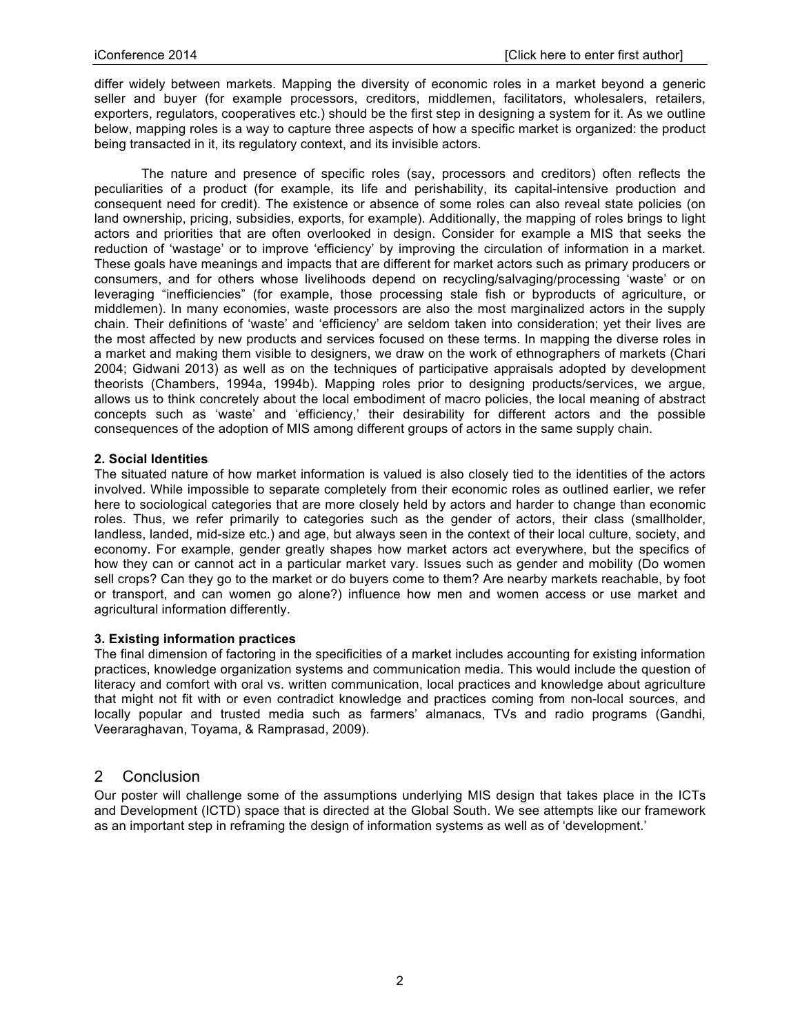differ widely between markets. Mapping the diversity of economic roles in a market beyond a generic seller and buyer (for example processors, creditors, middlemen, facilitators, wholesalers, retailers, exporters, regulators, cooperatives etc.) should be the first step in designing a system for it. As we outline below, mapping roles is a way to capture three aspects of how a specific market is organized: the product being transacted in it, its regulatory context, and its invisible actors.

The nature and presence of specific roles (say, processors and creditors) often reflects the peculiarities of a product (for example, its life and perishability, its capital-intensive production and consequent need for credit). The existence or absence of some roles can also reveal state policies (on land ownership, pricing, subsidies, exports, for example). Additionally, the mapping of roles brings to light actors and priorities that are often overlooked in design. Consider for example a MIS that seeks the reduction of 'wastage' or to improve 'efficiency' by improving the circulation of information in a market. These goals have meanings and impacts that are different for market actors such as primary producers or consumers, and for others whose livelihoods depend on recycling/salvaging/processing 'waste' or on leveraging "inefficiencies" (for example, those processing stale fish or byproducts of agriculture, or middlemen). In many economies, waste processors are also the most marginalized actors in the supply chain. Their definitions of 'waste' and 'efficiency' are seldom taken into consideration; yet their lives are the most affected by new products and services focused on these terms. In mapping the diverse roles in a market and making them visible to designers, we draw on the work of ethnographers of markets (Chari 2004; Gidwani 2013) as well as on the techniques of participative appraisals adopted by development theorists (Chambers, 1994a, 1994b). Mapping roles prior to designing products/services, we argue, allows us to think concretely about the local embodiment of macro policies, the local meaning of abstract concepts such as 'waste' and 'efficiency,' their desirability for different actors and the possible consequences of the adoption of MIS among different groups of actors in the same supply chain.

#### **2. Social Identities**

The situated nature of how market information is valued is also closely tied to the identities of the actors involved. While impossible to separate completely from their economic roles as outlined earlier, we refer here to sociological categories that are more closely held by actors and harder to change than economic roles. Thus, we refer primarily to categories such as the gender of actors, their class (smallholder, landless, landed, mid-size etc.) and age, but always seen in the context of their local culture, society, and economy. For example, gender greatly shapes how market actors act everywhere, but the specifics of how they can or cannot act in a particular market vary. Issues such as gender and mobility (Do women sell crops? Can they go to the market or do buyers come to them? Are nearby markets reachable, by foot or transport, and can women go alone?) influence how men and women access or use market and agricultural information differently.

## **3. Existing information practices**

The final dimension of factoring in the specificities of a market includes accounting for existing information practices, knowledge organization systems and communication media. This would include the question of literacy and comfort with oral vs. written communication, local practices and knowledge about agriculture that might not fit with or even contradict knowledge and practices coming from non-local sources, and locally popular and trusted media such as farmers' almanacs, TVs and radio programs (Gandhi, Veeraraghavan, Toyama, & Ramprasad, 2009).

# 2 Conclusion

Our poster will challenge some of the assumptions underlying MIS design that takes place in the ICTs and Development (ICTD) space that is directed at the Global South. We see attempts like our framework as an important step in reframing the design of information systems as well as of 'development.'